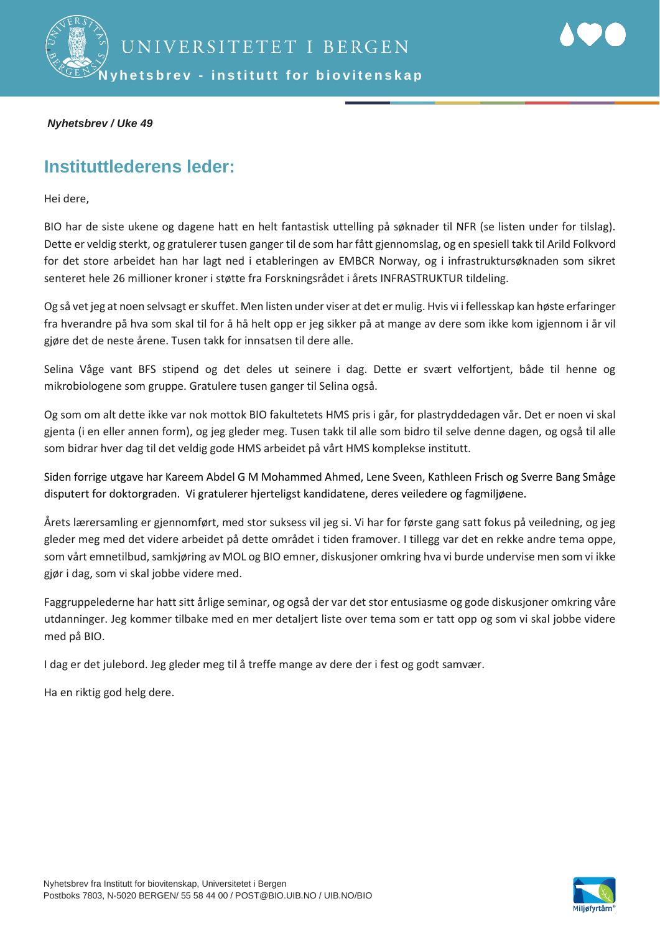

#### *Nyhetsbrev / Uke 49*

### **Instituttlederens leder:**

Hei dere,

BIO har de siste ukene og dagene hatt en helt fantastisk uttelling på søknader til NFR (se listen under for tilslag). Dette er veldig sterkt, og gratulerer tusen ganger til de som har fått gjennomslag, og en spesiell takk til Arild Folkvord for det store arbeidet han har lagt ned i etableringen av EMBCR Norway, og i infrastruktursøknaden som sikret senteret hele 26 millioner kroner i støtte fra Forskningsrådet i årets INFRASTRUKTUR tildeling.

Og så vet jeg at noen selvsagt er skuffet. Men listen under viser at det er mulig. Hvis vi i fellesskap kan høste erfaringer fra hverandre på hva som skal til for å hå helt opp er jeg sikker på at mange av dere som ikke kom igjennom i år vil gjøre det de neste årene. Tusen takk for innsatsen til dere alle.

Selina Våge vant BFS stipend og det deles ut seinere i dag. Dette er svært velfortjent, både til henne og mikrobiologene som gruppe. Gratulere tusen ganger til Selina også.

Og som om alt dette ikke var nok mottok BIO fakultetets HMS pris i går, for plastryddedagen vår. Det er noen vi skal gjenta (i en eller annen form), og jeg gleder meg. Tusen takk til alle som bidro til selve denne dagen, og også til alle som bidrar hver dag til det veldig gode HMS arbeidet på vårt HMS komplekse institutt.

Siden forrige utgave har Kareem Abdel G M Mohammed Ahmed, Lene Sveen, Kathleen Frisch og Sverre Bang Småge disputert for doktorgraden. Vi gratulerer hjerteligst kandidatene, deres veiledere og fagmiljøene.

Årets lærersamling er gjennomført, med stor suksess vil jeg si. Vi har for første gang satt fokus på veiledning, og jeg gleder meg med det videre arbeidet på dette området i tiden framover. I tillegg var det en rekke andre tema oppe, som vårt emnetilbud, samkjøring av MOL og BIO emner, diskusjoner omkring hva vi burde undervise men som vi ikke gjør i dag, som vi skal jobbe videre med.

Faggruppelederne har hatt sitt årlige seminar, og også der var det stor entusiasme og gode diskusjoner omkring våre utdanninger. Jeg kommer tilbake med en mer detaljert liste over tema som er tatt opp og som vi skal jobbe videre med på BIO.

I dag er det julebord. Jeg gleder meg til å treffe mange av dere der i fest og godt samvær.

Ha en riktig god helg dere.

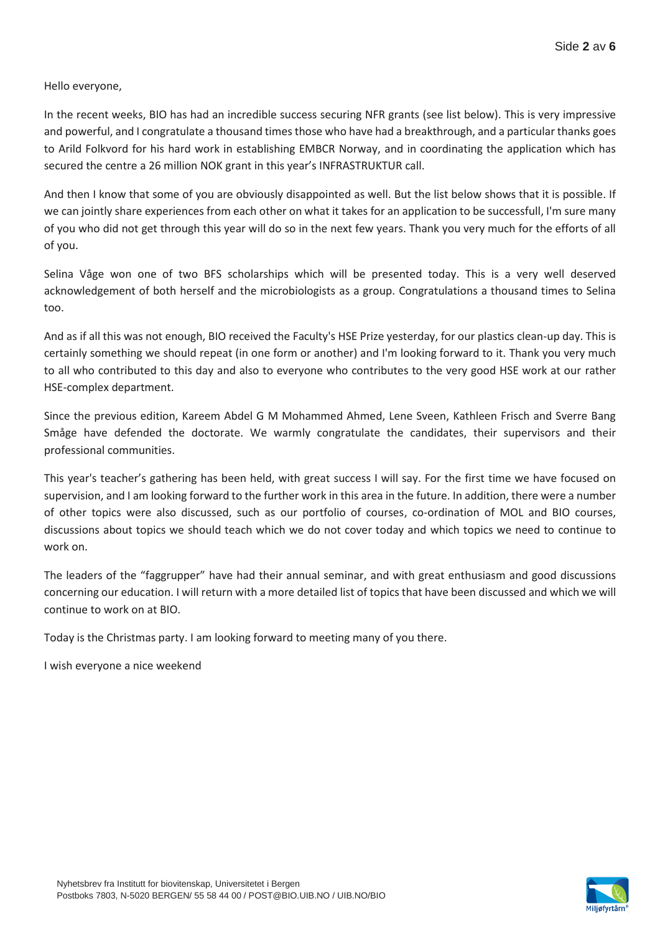Hello everyone,

In the recent weeks, BIO has had an incredible success securing NFR grants (see list below). This is very impressive and powerful, and I congratulate a thousand times those who have had a breakthrough, and a particular thanks goes to Arild Folkvord for his hard work in establishing EMBCR Norway, and in coordinating the application which has secured the centre a 26 million NOK grant in this year's INFRASTRUKTUR call.

And then I know that some of you are obviously disappointed as well. But the list below shows that it is possible. If we can jointly share experiences from each other on what it takes for an application to be successfull, I'm sure many of you who did not get through this year will do so in the next few years. Thank you very much for the efforts of all of you.

Selina Våge won one of two BFS scholarships which will be presented today. This is a very well deserved acknowledgement of both herself and the microbiologists as a group. Congratulations a thousand times to Selina too.

And as if all this was not enough, BIO received the Faculty's HSE Prize yesterday, for our plastics clean-up day. This is certainly something we should repeat (in one form or another) and I'm looking forward to it. Thank you very much to all who contributed to this day and also to everyone who contributes to the very good HSE work at our rather HSE-complex department.

Since the previous edition, Kareem Abdel G M Mohammed Ahmed, Lene Sveen, Kathleen Frisch and Sverre Bang Småge have defended the doctorate. We warmly congratulate the candidates, their supervisors and their professional communities.

This year's teacher's gathering has been held, with great success I will say. For the first time we have focused on supervision, and I am looking forward to the further work in this area in the future. In addition, there were a number of other topics were also discussed, such as our portfolio of courses, co-ordination of MOL and BIO courses, discussions about topics we should teach which we do not cover today and which topics we need to continue to work on.

The leaders of the "faggrupper" have had their annual seminar, and with great enthusiasm and good discussions concerning our education. I will return with a more detailed list of topics that have been discussed and which we will continue to work on at BIO.

Today is the Christmas party. I am looking forward to meeting many of you there.

I wish everyone a nice weekend

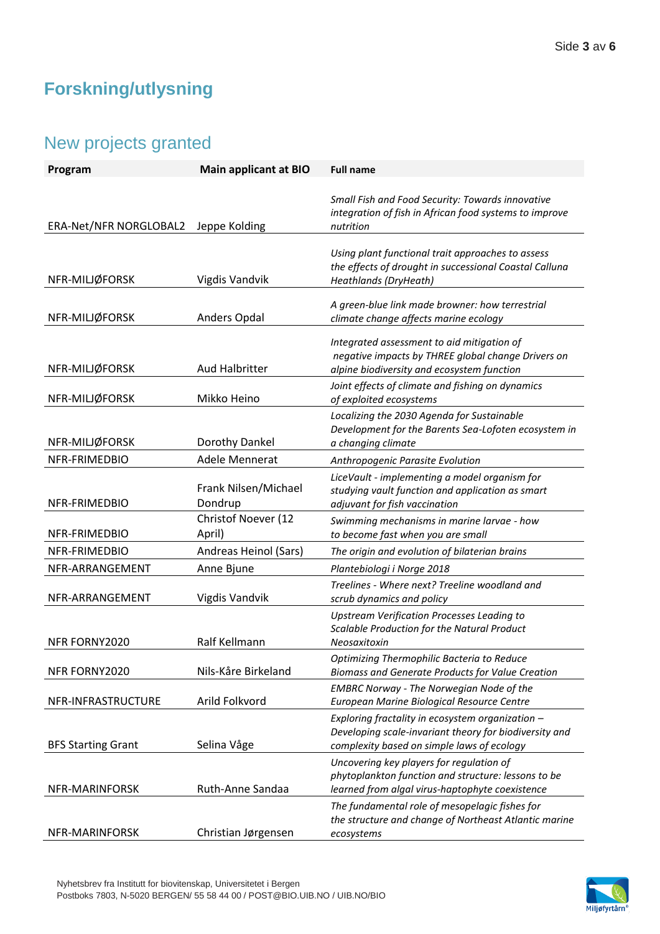# **Forskning/utlysning**

# New projects granted

| Program                   | <b>Main applicant at BIO</b>    | <b>Full name</b>                                                                                                                                         |
|---------------------------|---------------------------------|----------------------------------------------------------------------------------------------------------------------------------------------------------|
| ERA-Net/NFR NORGLOBAL2    | Jeppe Kolding                   | Small Fish and Food Security: Towards innovative<br>integration of fish in African food systems to improve<br>nutrition                                  |
| NFR-MILJØFORSK            | Vigdis Vandvik                  | Using plant functional trait approaches to assess<br>the effects of drought in successional Coastal Calluna<br>Heathlands (DryHeath)                     |
| NFR-MILJØFORSK            | Anders Opdal                    | A green-blue link made browner: how terrestrial<br>climate change affects marine ecology                                                                 |
| NFR-MILJØFORSK            | <b>Aud Halbritter</b>           | Integrated assessment to aid mitigation of<br>negative impacts by THREE global change Drivers on<br>alpine biodiversity and ecosystem function           |
| NFR-MILJØFORSK            | Mikko Heino                     | Joint effects of climate and fishing on dynamics<br>of exploited ecosystems                                                                              |
| NFR-MILJØFORSK            | Dorothy Dankel                  | Localizing the 2030 Agenda for Sustainable<br>Development for the Barents Sea-Lofoten ecosystem in<br>a changing climate                                 |
| NFR-FRIMEDBIO             | Adele Mennerat                  | Anthropogenic Parasite Evolution                                                                                                                         |
| NFR-FRIMEDBIO             | Frank Nilsen/Michael<br>Dondrup | LiceVault - implementing a model organism for<br>studying vault function and application as smart<br>adjuvant for fish vaccination                       |
| NFR-FRIMEDBIO             | Christof Noever (12<br>April)   | Swimming mechanisms in marine larvae - how<br>to become fast when you are small                                                                          |
| NFR-FRIMEDBIO             | Andreas Heinol (Sars)           | The origin and evolution of bilaterian brains                                                                                                            |
| NFR-ARRANGEMENT           | Anne Bjune                      | Plantebiologi i Norge 2018                                                                                                                               |
| NFR-ARRANGEMENT           | <b>Vigdis Vandvik</b>           | Treelines - Where next? Treeline woodland and<br>scrub dynamics and policy                                                                               |
| NFR FORNY2020             | Ralf Kellmann                   | <b>Upstream Verification Processes Leading to</b><br>Scalable Production for the Natural Product<br>Neosaxitoxin                                         |
| NFR FORNY2020             | Nils-Kåre Birkeland             | Optimizing Thermophilic Bacteria to Reduce<br>Biomass and Generate Products for Value Creation                                                           |
| NFR-INFRASTRUCTURE        | Arild Folkvord                  | <b>EMBRC Norway - The Norwegian Node of the</b><br>European Marine Biological Resource Centre                                                            |
| <b>BFS Starting Grant</b> | Selina Våge                     | Exploring fractality in ecosystem organization -<br>Developing scale-invariant theory for biodiversity and<br>complexity based on simple laws of ecology |
| NFR-MARINFORSK            | Ruth-Anne Sandaa                | Uncovering key players for regulation of<br>phytoplankton function and structure: lessons to be<br>learned from algal virus-haptophyte coexistence       |
| NFR-MARINFORSK            | Christian Jørgensen             | The fundamental role of mesopelagic fishes for<br>the structure and change of Northeast Atlantic marine<br>ecosystems                                    |

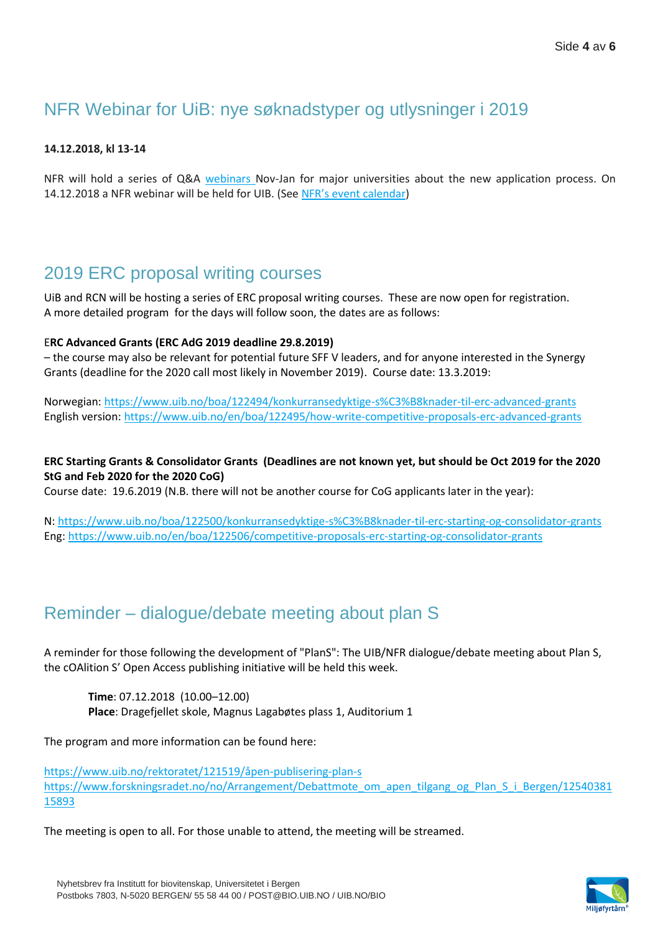## NFR Webinar for UiB: nye søknadstyper og utlysninger i 2019

#### **14.12.2018, kl 13-14**

NFR will hold a series of Q&A [webinars N](https://www.forskningsradet.no/no/Nyheter/Soke_forskningsmidler_i_2019/1254037783788/p1174467583739)ov-Jan for major universities about the new application process. On [14.12.2018 a NFR webinar will be held for UIB.](https://www.forskningsradet.no/no/Arrangementer/1176281825879) (See [NFR's event calendar](https://www.forskningsradet.no/no/Arrangementer/1176281825879))

### 2019 ERC proposal writing courses

UiB and RCN will be hosting a series of ERC proposal writing courses. These are now open for registration. A more detailed program for the days will follow soon, the dates are as follows:

#### E**RC Advanced Grants (ERC AdG 2019 deadline 29.8.2019)**

– the course may also be relevant for potential future SFF V leaders, and for anyone interested in the Synergy Grants (deadline for the 2020 call most likely in November 2019). Course date: 13.3.2019:

Norwegian:<https://www.uib.no/boa/122494/konkurransedyktige-s%C3%B8knader-til-erc-advanced-grants> English version:<https://www.uib.no/en/boa/122495/how-write-competitive-proposals-erc-advanced-grants>

### **ERC Starting Grants & Consolidator Grants (Deadlines are not known yet, but should be Oct 2019 for the 2020 StG and Feb 2020 for the 2020 CoG)**

Course date: 19.6.2019 (N.B. there will not be another course for CoG applicants later in the year):

N:<https://www.uib.no/boa/122500/konkurransedyktige-s%C3%B8knader-til-erc-starting-og-consolidator-grants> Eng: <https://www.uib.no/en/boa/122506/competitive-proposals-erc-starting-og-consolidator-grants>

## Reminder – dialogue/debate meeting about plan S

A reminder for those following the development of "PlanS": The UIB/NFR dialogue/debate meeting about Plan S, the cOAlition S' Open Access publishing initiative will be held this week.

**Time**: 07.12.2018 (10.00–12.00) **Place**: Dragefjellet skole, Magnus Lagabøtes plass 1, Auditorium 1

The program and more information can be found here:

<https://www.uib.no/rektoratet/121519/åpen-publisering-plan-s> [https://www.forskningsradet.no/no/Arrangement/Debattmote\\_om\\_apen\\_tilgang\\_og\\_Plan\\_S\\_i\\_Bergen/12540381](https://www.forskningsradet.no/no/Arrangement/Debattmote_om_apen_tilgang_og_Plan_S_i_Bergen/1254038115893) [15893](https://www.forskningsradet.no/no/Arrangement/Debattmote_om_apen_tilgang_og_Plan_S_i_Bergen/1254038115893)

The meeting is open to all. For those unable to attend, the meeting will be streamed.

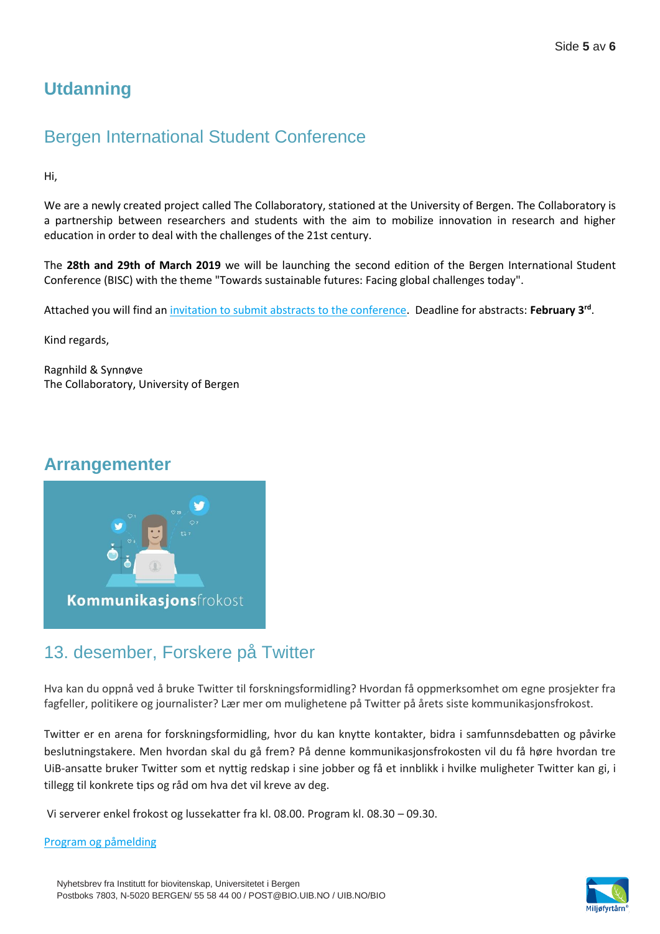# **Utdanning**

## Bergen International Student Conference

Hi,

We are a newly created project called The Collaboratory, stationed at the University of Bergen. The Collaboratory is a partnership between researchers and students with the aim to mobilize innovation in research and higher education in order to deal with the challenges of the 21st century.

The **28th and 29th of March 2019** we will be launching the second edition of the Bergen International Student Conference (BISC) with the theme "Towards sustainable futures: Facing global challenges today".

Attached you will find an [invitation to submit abstracts to the conference.](http://vedlegg.uib.no/?id=37ac433b1dd1421e823acf00c3940877) Deadline for abstracts: **February 3rd** .

Kind regards,

Ragnhild & Synnøve The Collaboratory, University of Bergen

### **Arrangementer**



## 13. desember, Forskere på Twitter

Hva kan du oppnå ved å bruke Twitter til forskningsformidling? Hvordan få oppmerksomhet om egne prosjekter fra fagfeller, politikere og journalister? Lær mer om mulighetene på Twitter på årets siste kommunikasjonsfrokost.

Twitter er en arena for forskningsformidling, hvor du kan knytte kontakter, bidra i samfunnsdebatten og påvirke beslutningstakere. Men hvordan skal du gå frem? På denne kommunikasjonsfrokosten vil du få høre hvordan tre UiB-ansatte bruker Twitter som et nyttig redskap i sine jobber og få et innblikk i hvilke muligheter Twitter kan gi, i tillegg til konkrete tips og råd om hva det vil kreve av deg.

Vi serverer enkel frokost og lussekatter fra kl. 08.00. Program kl. 08.30 – 09.30.

### [Program og påmelding](https://www.uib.no/foransatte/122387/forskere-p%C3%A5-twitter)